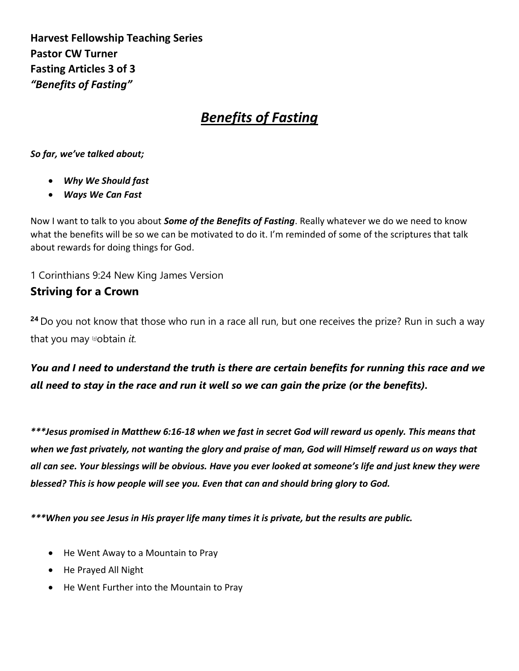**Harvest Fellowship Teaching Series Pastor CW Turner Fasting Articles 3 of 3** *"Benefits of Fasting"*

# *Benefits of Fasting*

*So far, we've talked about;*

- *Why We Should fast*
- *Ways We Can Fast*

Now I want to talk to you about *Some of the Benefits of Fasting*. Really whatever we do we need to know what the benefits will be so we can be motivated to do it. I'm reminded of some of the scriptures that talk about rewards for doing things for God.

1 Corinthians 9:24 New King James Version **Striving for a Crown**

**<sup>24</sup>** Do you not know that those who run in a race all run, but one receives the prize? Run in such a way that you may [\[a\]](https://www.biblegateway.com/passage/?search=1%20Corinthians%209%3A24&version=NKJV#fen-NKJV-28565a)obtain *it.*

*You and I need to understand the truth is there are certain benefits for running this race and we all need to stay in the race and run it well so we can gain the prize (or the benefits).*

*\*\*\*Jesus promised in Matthew 6:16-18 when we fast in secret God will reward us openly. This means that when we fast privately, not wanting the glory and praise of man, God will Himself reward us on ways that all can see. Your blessings will be obvious. Have you ever looked at someone's life and just knew they were blessed? This is how people will see you. Even that can and should bring glory to God.*

*\*\*\*When you see Jesus in His prayer life many times it is private, but the results are public.*

- He Went Away to a Mountain to Pray
- He Prayed All Night
- He Went Further into the Mountain to Pray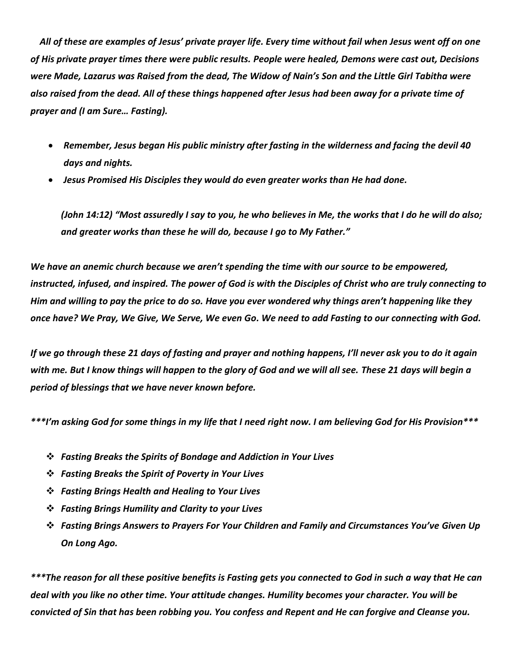*All of these are examples of Jesus' private prayer life. Every time without fail when Jesus went off on one of His private prayer times there were public results. People were healed, Demons were cast out, Decisions were Made, Lazarus was Raised from the dead, The Widow of Nain's Son and the Little Girl Tabitha were also raised from the dead. All of these things happened after Jesus had been away for a private time of prayer and (I am Sure… Fasting).*

- *Remember, Jesus began His public ministry after fasting in the wilderness and facing the devil 40 days and nights.*
- *Jesus Promised His Disciples they would do even greater works than He had done.*

*(John 14:12) "Most assuredly I say to you, he who believes in Me, the works that I do he will do also; and greater works than these he will do, because I go to My Father."*

*We have an anemic church because we aren't spending the time with our source to be empowered, instructed, infused, and inspired. The power of God is with the Disciples of Christ who are truly connecting to Him and willing to pay the price to do so. Have you ever wondered why things aren't happening like they once have? We Pray, We Give, We Serve, We even Go. We need to add Fasting to our connecting with God.*

*If we go through these 21 days of fasting and prayer and nothing happens, I'll never ask you to do it again with me. But I know things will happen to the glory of God and we will all see. These 21 days will begin a period of blessings that we have never known before.*

*\*\*\*I'm asking God for some things in my life that I need right now. I am believing God for His Provision\*\*\**

- ❖ *Fasting Breaks the Spirits of Bondage and Addiction in Your Lives*
- ❖ *Fasting Breaks the Spirit of Poverty in Your Lives*
- ❖ *Fasting Brings Health and Healing to Your Lives*
- ❖ *Fasting Brings Humility and Clarity to your Lives*
- ❖ *Fasting Brings Answers to Prayers For Your Children and Family and Circumstances You've Given Up On Long Ago.*

*\*\*\*The reason for all these positive benefits is Fasting gets you connected to God in such a way that He can deal with you like no other time. Your attitude changes. Humility becomes your character. You will be convicted of Sin that has been robbing you. You confess and Repent and He can forgive and Cleanse you.*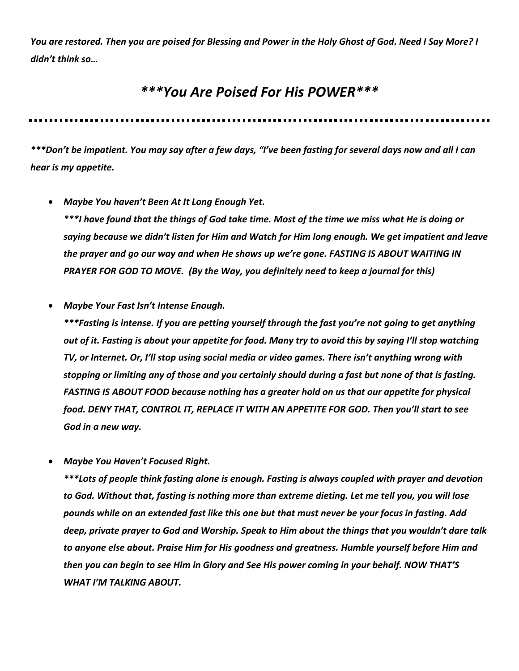*You are restored. Then you are poised for Blessing and Power in the Holy Ghost of God. Need I Say More? I didn't think so…*

### *\*\*\*You Are Poised For His POWER\*\*\**

*\*\*\*Don't be impatient. You may say after a few days, "I've been fasting for several days now and all I can hear is my appetite.*

- *Maybe You haven't Been At It Long Enough Yet. \*\*\*I have found that the things of God take time. Most of the time we miss what He is doing or saying because we didn't listen for Him and Watch for Him long enough. We get impatient and leave the prayer and go our way and when He shows up we're gone. FASTING IS ABOUT WAITING IN PRAYER FOR GOD TO MOVE. (By the Way, you definitely need to keep a journal for this)*
- *Maybe Your Fast Isn't Intense Enough.*

*\*\*\*Fasting is intense. If you are petting yourself through the fast you're not going to get anything out of it. Fasting is about your appetite for food. Many try to avoid this by saying I'll stop watching TV, or Internet. Or, I'll stop using social media or video games. There isn't anything wrong with stopping or limiting any of those and you certainly should during a fast but none of that is fasting. FASTING IS ABOUT FOOD because nothing has a greater hold on us that our appetite for physical food. DENY THAT, CONTROL IT, REPLACE IT WITH AN APPETITE FOR GOD. Then you'll start to see God in a new way.*

• *Maybe You Haven't Focused Right.*

*\*\*\*Lots of people think fasting alone is enough. Fasting is always coupled with prayer and devotion to God. Without that, fasting is nothing more than extreme dieting. Let me tell you, you will lose pounds while on an extended fast like this one but that must never be your focus in fasting. Add deep, private prayer to God and Worship. Speak to Him about the things that you wouldn't dare talk to anyone else about. Praise Him for His goodness and greatness. Humble yourself before Him and then you can begin to see Him in Glory and See His power coming in your behalf. NOW THAT'S WHAT I'M TALKING ABOUT.*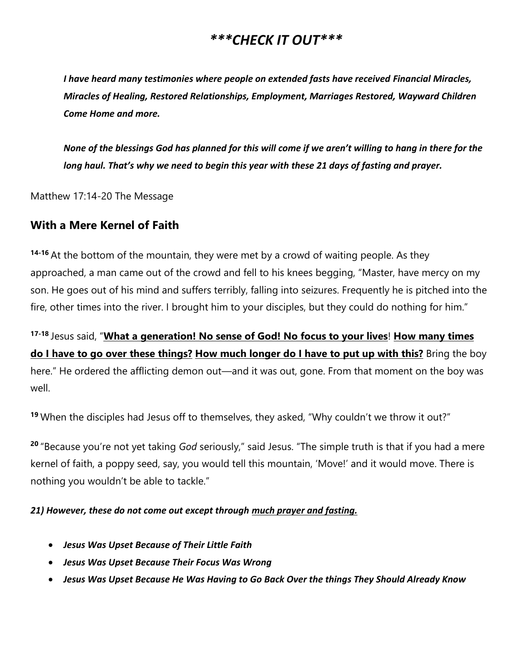### *\*\*\*CHECK IT OUT\*\*\**

*I have heard many testimonies where people on extended fasts have received Financial Miracles, Miracles of Healing, Restored Relationships, Employment, Marriages Restored, Wayward Children Come Home and more.*

*None of the blessings God has planned for this will come if we aren't willing to hang in there for the long haul. That's why we need to begin this year with these 21 days of fasting and prayer.* 

Matthew 17:14-20 The Message

### **With a Mere Kernel of Faith**

**14-16** At the bottom of the mountain, they were met by a crowd of waiting people. As they approached, a man came out of the crowd and fell to his knees begging, "Master, have mercy on my son. He goes out of his mind and suffers terribly, falling into seizures. Frequently he is pitched into the fire, other times into the river. I brought him to your disciples, but they could do nothing for him."

**17-18** Jesus said, "**What a generation! No sense of God! No focus to your lives**! **How many times do I have to go over these things? How much longer do I have to put up with this?** Bring the boy here." He ordered the afflicting demon out—and it was out, gone. From that moment on the boy was well.

**<sup>19</sup>** When the disciples had Jesus off to themselves, they asked, "Why couldn't we throw it out?"

**<sup>20</sup>** "Because you're not yet taking *God* seriously," said Jesus. "The simple truth is that if you had a mere kernel of faith, a poppy seed, say, you would tell this mountain, 'Move!' and it would move. There is nothing you wouldn't be able to tackle."

*21) However, these do not come out except through much prayer and fasting.*

- *Jesus Was Upset Because of Their Little Faith*
- *Jesus Was Upset Because Their Focus Was Wrong*
- *Jesus Was Upset Because He Was Having to Go Back Over the things They Should Already Know*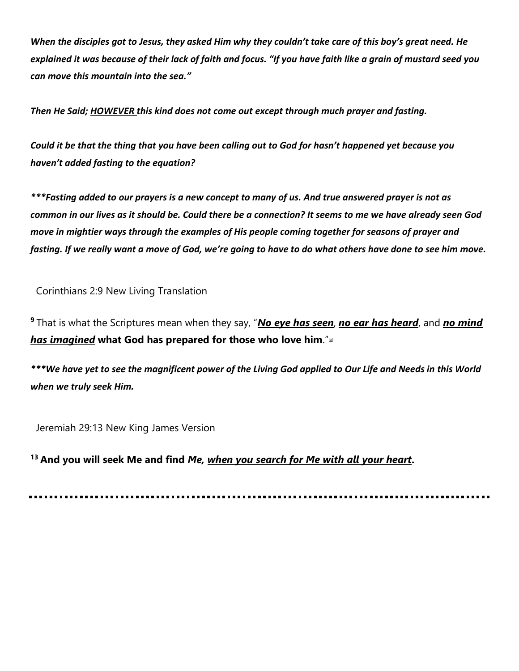*When the disciples got to Jesus, they asked Him why they couldn't take care of this boy's great need. He explained it was because of their lack of faith and focus. "If you have faith like a grain of mustard seed you can move this mountain into the sea."*

*Then He Said; HOWEVER this kind does not come out except through much prayer and fasting.*

*Could it be that the thing that you have been calling out to God for hasn't happened yet because you haven't added fasting to the equation?* 

*\*\*\*Fasting added to our prayers is a new concept to many of us. And true answered prayer is not as common in our lives as it should be. Could there be a connection? It seems to me we have already seen God move in mightier ways through the examples of His people coming together for seasons of prayer and fasting. If we really want a move of God, we're going to have to do what others have done to see him move.*

Corinthians 2:9 New Living Translation

**<sup>9</sup>** That is what the Scriptures mean when they say, "*No eye has seen*, *no ear has heard*, and *no mind has imagined* **what God has prepared for those who love him**."[\[a\]](https://www.biblegateway.com/passage/?search=1+Cor+2%3A9&version=NLT#fen-NLT-28364a)

*\*\*\*We have yet to see the magnificent power of the Living God applied to Our Life and Needs in this World when we truly seek Him.*

Jeremiah 29:13 New King James Version

**<sup>13</sup> And you will seek Me and find** *Me, when you search for Me with all your heart***.**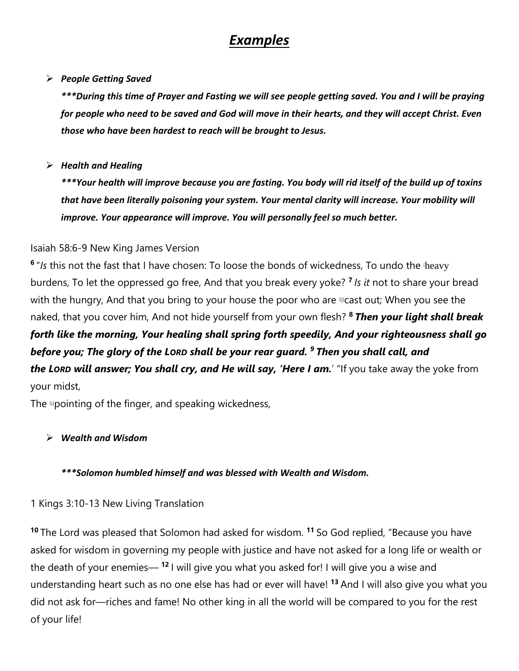## *Examples*

### ➢ *People Getting Saved*

*\*\*\*During this time of Prayer and Fasting we will see people getting saved. You and I will be praying for people who need to be saved and God will move in their hearts, and they will accept Christ. Even those who have been hardest to reach will be brought to Jesus.*

### ➢ *Health and Healing*

*\*\*\*Your health will improve because you are fasting. You body will rid itself of the build up of toxins that have been literally poisoning your system. Your mental clarity will increase. Your mobility will improve. Your appearance will improve. You will personally feel so much better.*

### Isaiah 58:6-9 New King James Version

<sup>6</sup> "Is this not the fast that I have chosen: To loose the bonds of wickedness, To undo the theavy burdens, To let the oppressed go free, And that you break every yoke? **<sup>7</sup>** *Is it* not to share your bread with the hungry, And that you bring to your house the poor who are  $\triangle$  cast out; When you see the naked, that you cover him, And not hide yourself from your own flesh? **<sup>8</sup>** *Then your light shall break* 

## *forth like the morning, Your healing shall spring forth speedily, And your righteousness shall go before you; The glory of the LORD shall be your rear guard. <sup>9</sup> Then you shall call, and the LORD will answer; You shall cry, and He will say, 'Here I am.*' "If you take away the yoke from

your midst,

The **pointing of the finger, and speaking wickedness,** 

### ➢ *Wealth and Wisdom*

### *\*\*\*Solomon humbled himself and was blessed with Wealth and Wisdom.*

1 Kings 3:10-13 New Living Translation

**<sup>10</sup>** The Lord was pleased that Solomon had asked for wisdom. **<sup>11</sup>** So God replied, "Because you have asked for wisdom in governing my people with justice and have not asked for a long life or wealth or the death of your enemies— **<sup>12</sup>** I will give you what you asked for! I will give you a wise and understanding heart such as no one else has had or ever will have! **<sup>13</sup>** And I will also give you what you did not ask for—riches and fame! No other king in all the world will be compared to you for the rest of your life!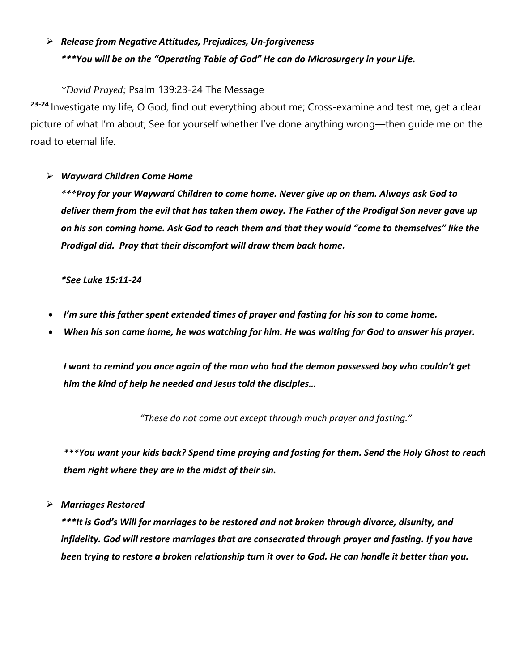### ➢ *Release from Negative Attitudes, Prejudices, Un-forgiveness \*\*\*You will be on the "Operating Table of God" He can do Microsurgery in your Life.*

### *\*David Prayed;* Psalm 139:23-24 The Message

**23-24** Investigate my life, O God, find out everything about me; Cross-examine and test me, get a clear picture of what I'm about; See for yourself whether I've done anything wrong—then guide me on the road to eternal life.

### ➢ *Wayward Children Come Home*

*\*\*\*Pray for your Wayward Children to come home. Never give up on them. Always ask God to deliver them from the evil that has taken them away. The Father of the Prodigal Son never gave up on his son coming home. Ask God to reach them and that they would "come to themselves" like the Prodigal did. Pray that their discomfort will draw them back home.* 

*\*See Luke 15:11-24*

- *I'm sure this father spent extended times of prayer and fasting for his son to come home.*
- *When his son came home, he was watching for him. He was waiting for God to answer his prayer.*

*I want to remind you once again of the man who had the demon possessed boy who couldn't get him the kind of help he needed and Jesus told the disciples…*

*"These do not come out except through much prayer and fasting."*

*\*\*\*You want your kids back? Spend time praying and fasting for them. Send the Holy Ghost to reach them right where they are in the midst of their sin.*

➢ *Marriages Restored*

*\*\*\*It is God's Will for marriages to be restored and not broken through divorce, disunity, and infidelity. God will restore marriages that are consecrated through prayer and fasting. If you have been trying to restore a broken relationship turn it over to God. He can handle it better than you.*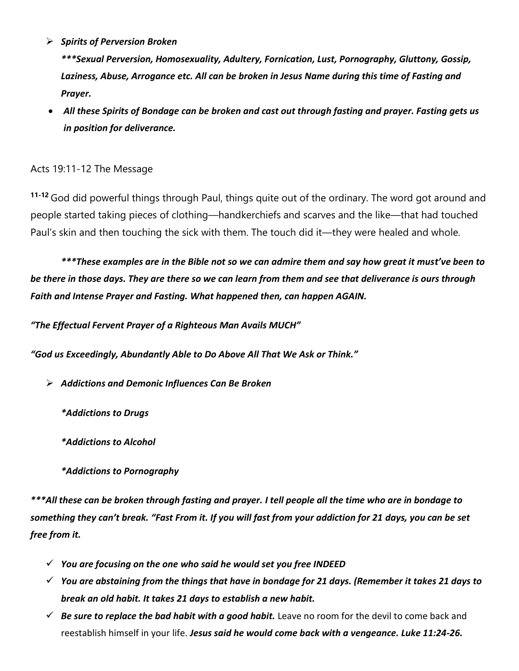➢ *Spirits of Perversion Broken*

*\*\*\*Sexual Perversion, Homosexuality, Adultery, Fornication, Lust, Pornography, Gluttony, Gossip, Laziness, Abuse, Arrogance etc. All can be broken in Jesus Name during this time of Fasting and Prayer.* 

• *All these Spirits of Bondage can be broken and cast out through fasting and prayer. Fasting gets us in position for deliverance.*

### Acts 19:11-12 The Message

**11-12** God did powerful things through Paul, things quite out of the ordinary. The word got around and people started taking pieces of clothing—handkerchiefs and scarves and the like—that had touched Paul's skin and then touching the sick with them. The touch did it—they were healed and whole.

*\*\*\*These examples are in the Bible not so we can admire them and say how great it must've been to be there in those days. They are there so we can learn from them and see that deliverance is ours through Faith and Intense Prayer and Fasting. What happened then, can happen AGAIN.*

*"The Effectual Fervent Prayer of a Righteous Man Avails MUCH"*

*"God us Exceedingly, Abundantly Able to Do Above All That We Ask or Think."*

- ➢ *Addictions and Demonic Influences Can Be Broken*
	- *\*Addictions to Drugs*
	- *\*Addictions to Alcohol*
	- *\*Addictions to Pornography*

*\*\*\*All these can be broken through fasting and prayer. I tell people all the time who are in bondage to something they can't break. "Fast From it. If you will fast from your addiction for 21 days, you can be set free from it.*

- ✓ *You are focusing on the one who said he would set you free INDEED*
- ✓ *You are abstaining from the things that have in bondage for 21 days. (Remember it takes 21 days to break an old habit. It takes 21 days to establish a new habit.*
- ✓ *Be sure to replace the bad habit with a good habit.* Leave no room for the devil to come back and reestablish himself in your life. *Jesus said he would come back with a vengeance. Luke 11:24-26.*